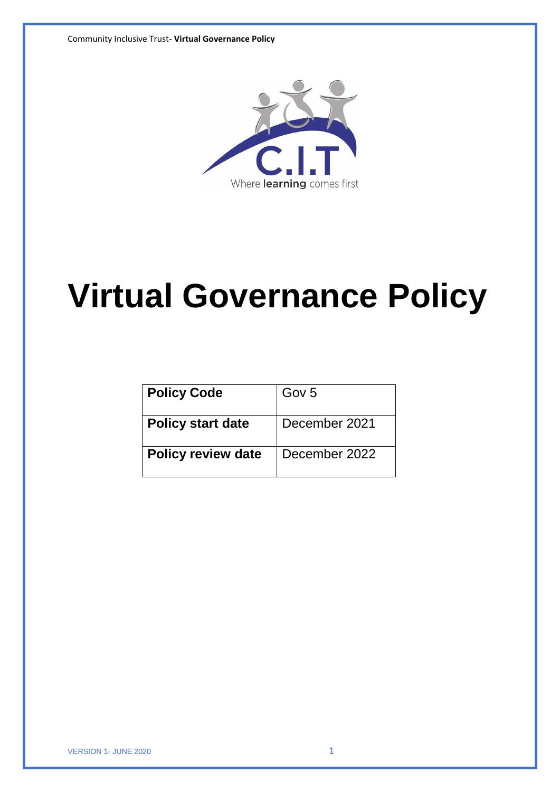

# **Virtual Governance Policy**

| <b>Policy Code</b>        | Gov <sub>5</sub> |
|---------------------------|------------------|
| <b>Policy start date</b>  | December 2021    |
| <b>Policy review date</b> | December 2022    |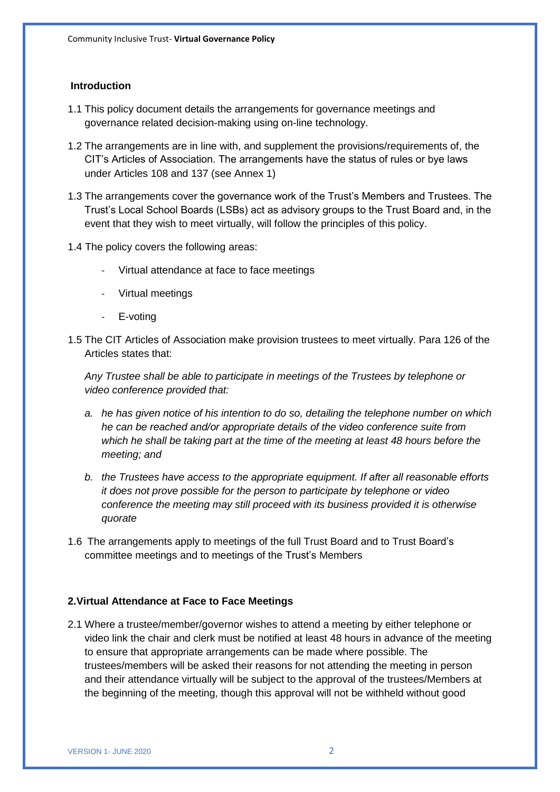## **Introduction**

- 1.1 This policy document details the arrangements for governance meetings and governance related decision-making using on-line technology.
- 1.2 The arrangements are in line with, and supplement the provisions/requirements of, the CIT's Articles of Association. The arrangements have the status of rules or bye laws under Articles 108 and 137 (see Annex 1)
- 1.3 The arrangements cover the governance work of the Trust's Members and Trustees. The Trust's Local School Boards (LSBs) act as advisory groups to the Trust Board and, in the event that they wish to meet virtually, will follow the principles of this policy.
- 1.4 The policy covers the following areas:
	- Virtual attendance at face to face meetings
	- Virtual meetings
	- E-voting
- 1.5 The CIT Articles of Association make provision trustees to meet virtually. Para 126 of the Articles states that:

*Any Trustee shall be able to participate in meetings of the Trustees by telephone or video conference provided that:*

- *a. he has given notice of his intention to do so, detailing the telephone number on which he can be reached and/or appropriate details of the video conference suite from which he shall be taking part at the time of the meeting at least 48 hours before the meeting; and*
- *b. the Trustees have access to the appropriate equipment. If after all reasonable efforts it does not prove possible for the person to participate by telephone or video conference the meeting may still proceed with its business provided it is otherwise quorate*
- 1.6 The arrangements apply to meetings of the full Trust Board and to Trust Board's committee meetings and to meetings of the Trust's Members

# **2.Virtual Attendance at Face to Face Meetings**

2.1 Where a trustee/member/governor wishes to attend a meeting by either telephone or video link the chair and clerk must be notified at least 48 hours in advance of the meeting to ensure that appropriate arrangements can be made where possible. The trustees/members will be asked their reasons for not attending the meeting in person and their attendance virtually will be subject to the approval of the trustees/Members at the beginning of the meeting, though this approval will not be withheld without good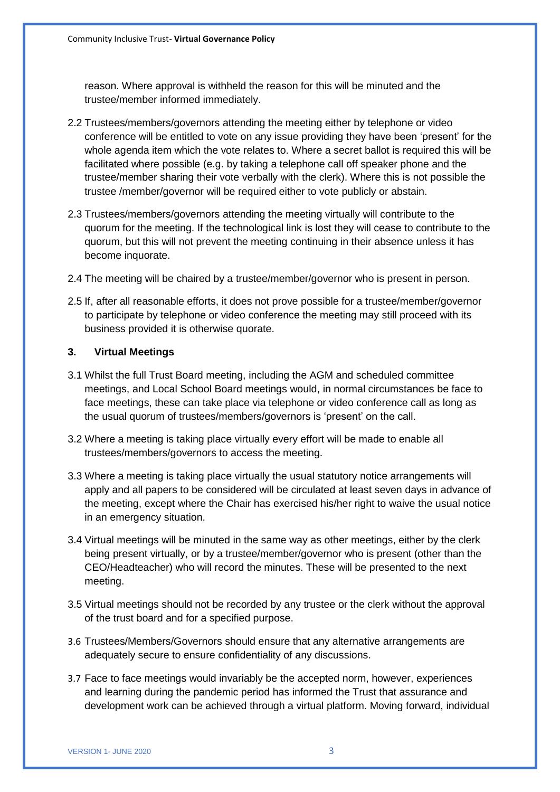reason. Where approval is withheld the reason for this will be minuted and the trustee/member informed immediately.

- 2.2 Trustees/members/governors attending the meeting either by telephone or video conference will be entitled to vote on any issue providing they have been 'present' for the whole agenda item which the vote relates to. Where a secret ballot is required this will be facilitated where possible (e.g. by taking a telephone call off speaker phone and the trustee/member sharing their vote verbally with the clerk). Where this is not possible the trustee /member/governor will be required either to vote publicly or abstain.
- 2.3 Trustees/members/governors attending the meeting virtually will contribute to the quorum for the meeting. If the technological link is lost they will cease to contribute to the quorum, but this will not prevent the meeting continuing in their absence unless it has become inquorate.
- 2.4 The meeting will be chaired by a trustee/member/governor who is present in person.
- 2.5 If, after all reasonable efforts, it does not prove possible for a trustee/member/governor to participate by telephone or video conference the meeting may still proceed with its business provided it is otherwise quorate.

## **3. Virtual Meetings**

- 3.1 Whilst the full Trust Board meeting, including the AGM and scheduled committee meetings, and Local School Board meetings would, in normal circumstances be face to face meetings, these can take place via telephone or video conference call as long as the usual quorum of trustees/members/governors is 'present' on the call.
- 3.2 Where a meeting is taking place virtually every effort will be made to enable all trustees/members/governors to access the meeting.
- 3.3 Where a meeting is taking place virtually the usual statutory notice arrangements will apply and all papers to be considered will be circulated at least seven days in advance of the meeting, except where the Chair has exercised his/her right to waive the usual notice in an emergency situation.
- 3.4 Virtual meetings will be minuted in the same way as other meetings, either by the clerk being present virtually, or by a trustee/member/governor who is present (other than the CEO/Headteacher) who will record the minutes. These will be presented to the next meeting.
- 3.5 Virtual meetings should not be recorded by any trustee or the clerk without the approval of the trust board and for a specified purpose.
- 3.6 Trustees/Members/Governors should ensure that any alternative arrangements are adequately secure to ensure confidentiality of any discussions.
- 3.7 Face to face meetings would invariably be the accepted norm, however, experiences and learning during the pandemic period has informed the Trust that assurance and development work can be achieved through a virtual platform. Moving forward, individual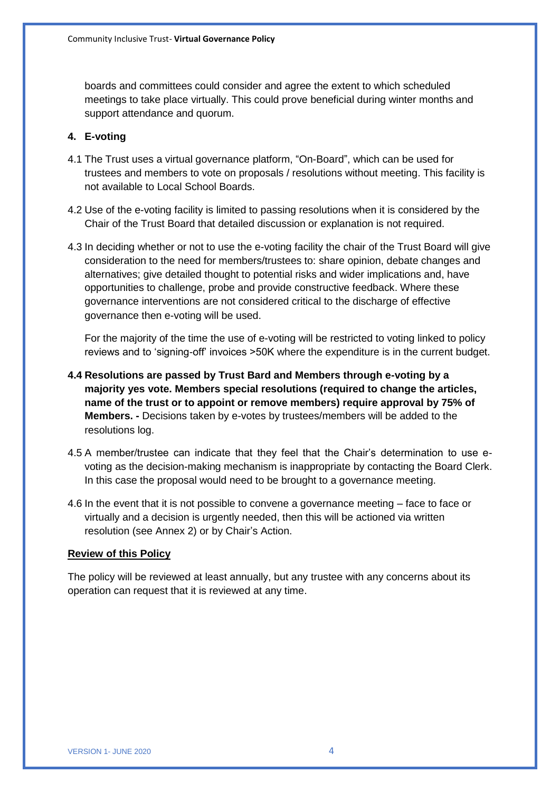boards and committees could consider and agree the extent to which scheduled meetings to take place virtually. This could prove beneficial during winter months and support attendance and quorum.

## **4. E-voting**

- 4.1 The Trust uses a virtual governance platform, "On-Board", which can be used for trustees and members to vote on proposals / resolutions without meeting. This facility is not available to Local School Boards.
- 4.2 Use of the e-voting facility is limited to passing resolutions when it is considered by the Chair of the Trust Board that detailed discussion or explanation is not required.
- 4.3 In deciding whether or not to use the e-voting facility the chair of the Trust Board will give consideration to the need for members/trustees to: share opinion, debate changes and alternatives; give detailed thought to potential risks and wider implications and, have opportunities to challenge, probe and provide constructive feedback. Where these governance interventions are not considered critical to the discharge of effective governance then e-voting will be used.

For the majority of the time the use of e-voting will be restricted to voting linked to policy reviews and to 'signing-off' invoices >50K where the expenditure is in the current budget.

- **4.4 Resolutions are passed by Trust Bard and Members through e-voting by a majority yes vote. Members special resolutions (required to change the articles, name of the trust or to appoint or remove members) require approval by 75% of Members. -** Decisions taken by e-votes by trustees/members will be added to the resolutions log.
- 4.5 A member/trustee can indicate that they feel that the Chair's determination to use evoting as the decision-making mechanism is inappropriate by contacting the Board Clerk. In this case the proposal would need to be brought to a governance meeting.
- 4.6 In the event that it is not possible to convene a governance meeting face to face or virtually and a decision is urgently needed, then this will be actioned via written resolution (see Annex 2) or by Chair's Action.

#### **Review of this Policy**

The policy will be reviewed at least annually, but any trustee with any concerns about its operation can request that it is reviewed at any time.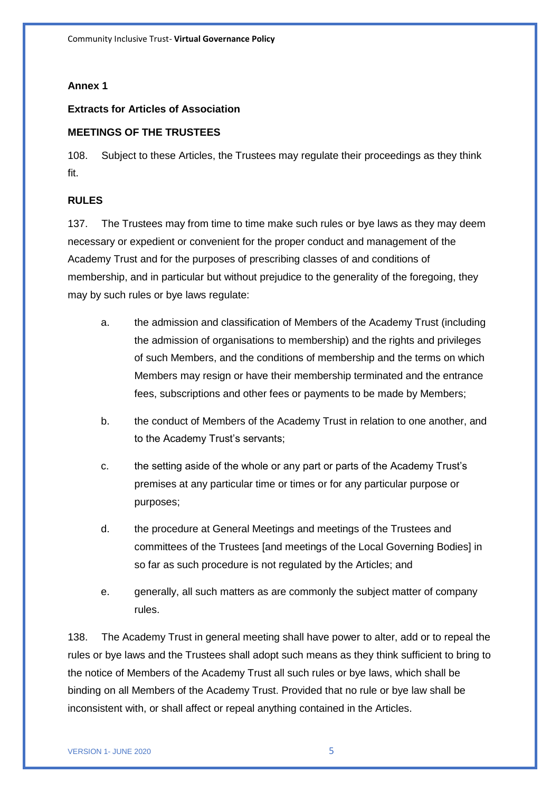## **Annex 1**

# **Extracts for Articles of Association**

# **MEETINGS OF THE TRUSTEES**

108. Subject to these Articles, the Trustees may regulate their proceedings as they think fit.

# **RULES**

137. The Trustees may from time to time make such rules or bye laws as they may deem necessary or expedient or convenient for the proper conduct and management of the Academy Trust and for the purposes of prescribing classes of and conditions of membership, and in particular but without prejudice to the generality of the foregoing, they may by such rules or bye laws regulate:

- a. the admission and classification of Members of the Academy Trust (including the admission of organisations to membership) and the rights and privileges of such Members, and the conditions of membership and the terms on which Members may resign or have their membership terminated and the entrance fees, subscriptions and other fees or payments to be made by Members;
- b. the conduct of Members of the Academy Trust in relation to one another, and to the Academy Trust's servants;
- c. the setting aside of the whole or any part or parts of the Academy Trust's premises at any particular time or times or for any particular purpose or purposes;
- d. the procedure at General Meetings and meetings of the Trustees and committees of the Trustees [and meetings of the Local Governing Bodies] in so far as such procedure is not regulated by the Articles; and
- e. generally, all such matters as are commonly the subject matter of company rules.

138. The Academy Trust in general meeting shall have power to alter, add or to repeal the rules or bye laws and the Trustees shall adopt such means as they think sufficient to bring to the notice of Members of the Academy Trust all such rules or bye laws, which shall be binding on all Members of the Academy Trust. Provided that no rule or bye law shall be inconsistent with, or shall affect or repeal anything contained in the Articles.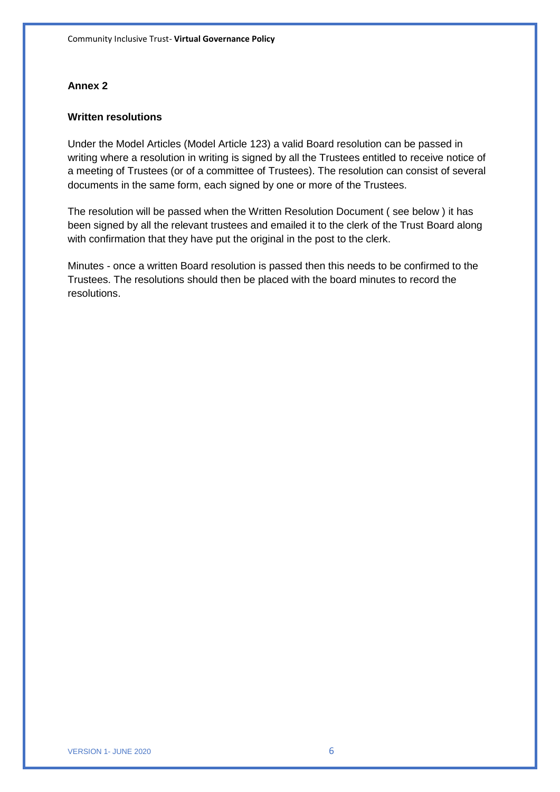## **Annex 2**

#### **Written resolutions**

Under the Model Articles (Model Article 123) a valid Board resolution can be passed in writing where a resolution in writing is signed by all the Trustees entitled to receive notice of a meeting of Trustees (or of a committee of Trustees). The resolution can consist of several documents in the same form, each signed by one or more of the Trustees.

The resolution will be passed when the Written Resolution Document ( see below ) it has been signed by all the relevant trustees and emailed it to the clerk of the Trust Board along with confirmation that they have put the original in the post to the clerk.

Minutes - once a written Board resolution is passed then this needs to be confirmed to the Trustees. The resolutions should then be placed with the board minutes to record the resolutions.